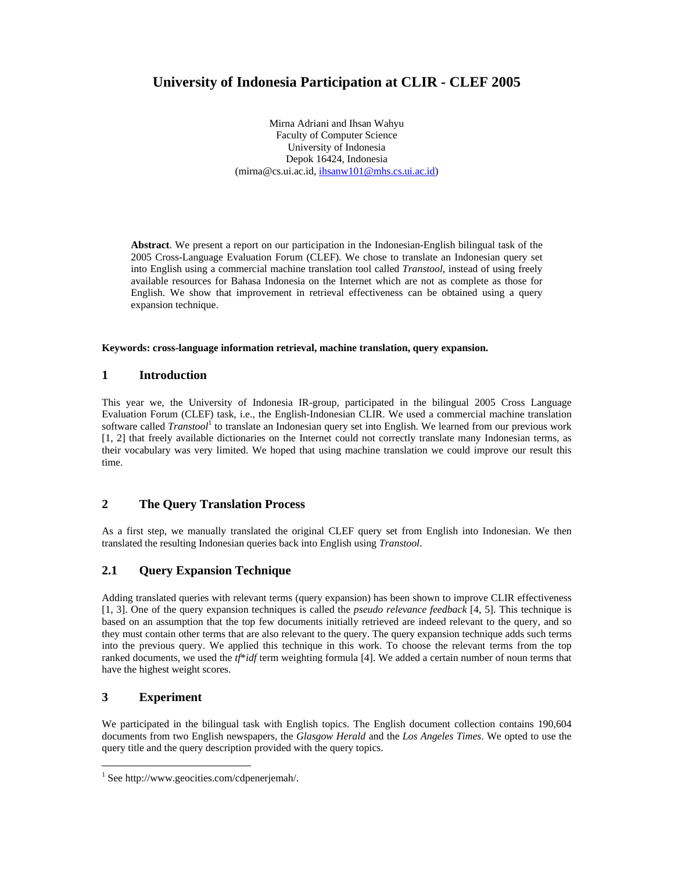# **University of Indonesia Participation at CLIR - CLEF 2005**

Mirna Adriani and Ihsan Wahyu Faculty of Computer Science University of Indonesia Depok 16424, Indonesia (mirna@cs.ui.ac.id, ihsanw101@mhs.cs.ui.ac.id)

**Abstract**. We present a report on our participation in the Indonesian-English bilingual task of the 2005 Cross-Language Evaluation Forum (CLEF). We chose to translate an Indonesian query set into English using a commercial machine translation tool called *Transtool*, instead of using freely available resources for Bahasa Indonesia on the Internet which are not as complete as those for English. We show that improvement in retrieval effectiveness can be obtained using a query expansion technique.

#### **Keywords: cross-language information retrieval, machine translation, query expansion.**

### **1 Introduction**

This year we, the University of Indonesia IR-group, participated in the bilingual 2005 Cross Language Evaluation Forum (CLEF) task, i.e., the English-Indonesian CLIR. We used a commercial machine translation software called *Transtool*<sup>1</sup> to translate an Indonesian query set into English. We learned from our previous work [1, 2] that freely available dictionaries on the Internet could not correctly translate many Indonesian terms, as their vocabulary was very limited. We hoped that using machine translation we could improve our result this time.

### **2 The Query Translation Process**

As a first step, we manually translated the original CLEF query set from English into Indonesian. We then translated the resulting Indonesian queries back into English using *Transtool*.

## **2.1 Query Expansion Technique**

Adding translated queries with relevant terms (query expansion) has been shown to improve CLIR effectiveness [1, 3]. One of the query expansion techniques is called the *pseudo relevance feedback* [4, 5]. This technique is based on an assumption that the top few documents initially retrieved are indeed relevant to the query, and so they must contain other terms that are also relevant to the query. The query expansion technique adds such terms into the previous query. We applied this technique in this work. To choose the relevant terms from the top ranked documents, we used the *tf*\**idf* term weighting formula [4]. We added a certain number of noun terms that have the highest weight scores.

## **3 Experiment**

-

We participated in the bilingual task with English topics. The English document collection contains 190,604 documents from two English newspapers, the *Glasgow Herald* and the *Los Angeles Times*. We opted to use the query title and the query description provided with the query topics.

<sup>1</sup> See http://www.geocities.com/cdpenerjemah/.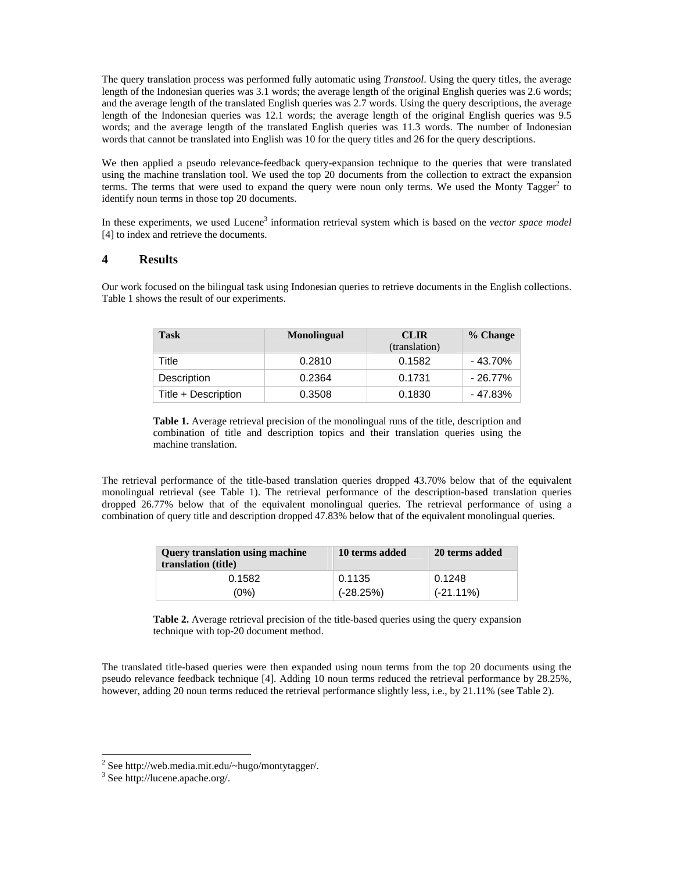The query translation process was performed fully automatic using *Transtool*. Using the query titles, the average length of the Indonesian queries was 3.1 words; the average length of the original English queries was 2.6 words; and the average length of the translated English queries was 2.7 words. Using the query descriptions, the average length of the Indonesian queries was 12.1 words; the average length of the original English queries was 9.5 words; and the average length of the translated English queries was 11.3 words. The number of Indonesian words that cannot be translated into English was 10 for the query titles and 26 for the query descriptions.

We then applied a pseudo relevance-feedback query-expansion technique to the queries that were translated using the machine translation tool. We used the top 20 documents from the collection to extract the expansion terms. The terms that were used to expand the query were noun only terms. We used the Monty  $\text{Tagger}^2$  to identify noun terms in those top 20 documents.

In these experiments, we used Lucene<sup>3</sup> information retrieval system which is based on the *vector space model* [4] to index and retrieve the documents.

#### **4 Results**

Our work focused on the bilingual task using Indonesian queries to retrieve documents in the English collections. Table 1 shows the result of our experiments.

| <b>Task</b>         | <b>Monolingual</b> | <b>CLIR</b><br>(translation) | % Change |
|---------------------|--------------------|------------------------------|----------|
| Title               | 0.2810             | 0.1582                       | - 43.70% |
| Description         | 0.2364             | 0.1731                       | - 26.77% |
| Title + Description | 0.3508             | 0.1830                       | - 47.83% |

**Table 1.** Average retrieval precision of the monolingual runs of the title, description and combination of title and description topics and their translation queries using the machine translation.

The retrieval performance of the title-based translation queries dropped 43.70% below that of the equivalent monolingual retrieval (see Table 1). The retrieval performance of the description-based translation queries dropped 26.77% below that of the equivalent monolingual queries. The retrieval performance of using a combination of query title and description dropped 47.83% below that of the equivalent monolingual queries.

| <b>Ouery translation using machine</b><br>translation (title) | 10 terms added | 20 terms added |
|---------------------------------------------------------------|----------------|----------------|
| 0.1582                                                        | 0.1135         | 0.1248         |
| (0%)                                                          | $(-28.25%)$    | $(-21.11\%)$   |

**Table 2.** Average retrieval precision of the title-based queries using the query expansion technique with top-20 document method.

The translated title-based queries were then expanded using noun terms from the top 20 documents using the pseudo relevance feedback technique [4]. Adding 10 noun terms reduced the retrieval performance by 28.25%, however, adding 20 noun terms reduced the retrieval performance slightly less, i.e., by 21.11% (see Table 2).

-

 $2$  See http://web.media.mit.edu/~hugo/montytagger/.

<sup>3</sup> See http://lucene.apache.org/.